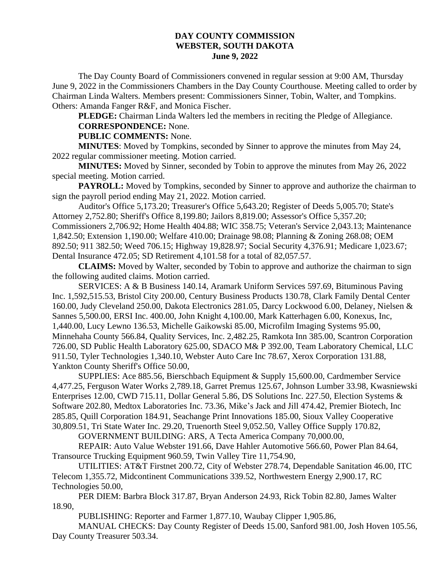## **DAY COUNTY COMMISSION WEBSTER, SOUTH DAKOTA June 9, 2022**

The Day County Board of Commissioners convened in regular session at 9:00 AM, Thursday June 9, 2022 in the Commissioners Chambers in the Day County Courthouse. Meeting called to order by Chairman Linda Walters. Members present: Commissioners Sinner, Tobin, Walter, and Tompkins. Others: Amanda Fanger R&F, and Monica Fischer.

**PLEDGE:** Chairman Linda Walters led the members in reciting the Pledge of Allegiance. **CORRESPONDENCE:** None.

## **PUBLIC COMMENTS:** None.

**MINUTES**: Moved by Tompkins, seconded by Sinner to approve the minutes from May 24, 2022 regular commissioner meeting. Motion carried.

**MINUTES:** Moved by Sinner, seconded by Tobin to approve the minutes from May 26, 2022 special meeting. Motion carried.

**PAYROLL:** Moved by Tompkins, seconded by Sinner to approve and authorize the chairman to sign the payroll period ending May 21, 2022. Motion carried.

Auditor's Office 5,173.20; Treasurer's Office 5,643.20; Register of Deeds 5,005.70; State's Attorney 2,752.80; Sheriff's Office 8,199.80; Jailors 8,819.00; Assessor's Office 5,357.20; Commissioners 2,706.92; Home Health 404.88; WIC 358.75; Veteran's Service 2,043.13; Maintenance 1,842.50; Extension 1,190.00; Welfare 410.00; Drainage 98.08; Planning & Zoning 268.08; OEM 892.50; 911 382.50; Weed 706.15; Highway 19,828.97; Social Security 4,376.91; Medicare 1,023.67; Dental Insurance 472.05; SD Retirement 4,101.58 for a total of 82,057.57.

**CLAIMS:** Moved by Walter, seconded by Tobin to approve and authorize the chairman to sign the following audited claims. Motion carried.

SERVICES: A & B Business 140.14, Aramark Uniform Services 597.69, Bituminous Paving Inc. 1,592,515.53, Bristol City 200.00, Century Business Products 130.78, Clark Family Dental Center 160.00, Judy Cleveland 250.00, Dakota Electronics 281.05, Darcy Lockwood 6.00, Delaney, Nielsen & Sannes 5,500.00, ERSI Inc. 400.00, John Knight 4,100.00, Mark Katterhagen 6.00, Konexus, Inc, 1,440.00, Lucy Lewno 136.53, Michelle Gaikowski 85.00, Microfilm Imaging Systems 95.00, Minnehaha County 566.84, Quality Services, Inc. 2,482.25, Ramkota Inn 385.00, Scantron Corporation 726.00, SD Public Health Laboratory 625.00, SDACO M& P 392.00, Team Laboratory Chemical, LLC 911.50, Tyler Technologies 1,340.10, Webster Auto Care Inc 78.67, Xerox Corporation 131.88, Yankton County Sheriff's Office 50.00,

SUPPLIES: Ace 885.56, Bierschbach Equipment & Supply 15,600.00, Cardmember Service 4,477.25, Ferguson Water Works 2,789.18, Garret Premus 125.67, Johnson Lumber 33.98, Kwasniewski Enterprises 12.00, CWD 715.11, Dollar General 5.86, DS Solutions Inc. 227.50, Election Systems & Software 202.80, Medtox Laboratories Inc. 73.36, Mike's Jack and Jill 474.42, Premier Biotech, Inc 285.85, Quill Corporation 184.91, Seachange Print Innovations 185.00, Sioux Valley Cooperative 30,809.51, Tri State Water Inc. 29.20, Truenorth Steel 9,052.50, Valley Office Supply 170.82,

GOVERNMENT BUILDING: ARS, A Tecta America Company 70,000.00,

REPAIR: Auto Value Webster 191.66, Dave Hahler Automotive 566.60, Power Plan 84.64, Transource Trucking Equipment 960.59, Twin Valley Tire 11,754.90,

UTILITIES: AT&T Firstnet 200.72, City of Webster 278.74, Dependable Sanitation 46.00, ITC Telecom 1,355.72, Midcontinent Communications 339.52, Northwestern Energy 2,900.17, RC Technologies 50.00,

PER DIEM: Barbra Block 317.87, Bryan Anderson 24.93, Rick Tobin 82.80, James Walter 18.90,

PUBLISHING: Reporter and Farmer 1,877.10, Waubay Clipper 1,905.86,

MANUAL CHECKS: Day County Register of Deeds 15.00, Sanford 981.00, Josh Hoven 105.56, Day County Treasurer 503.34.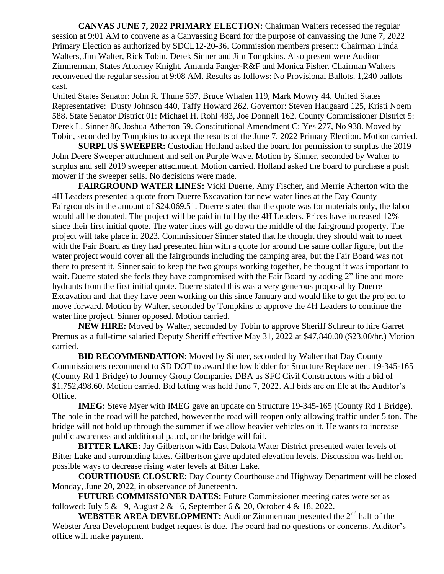**CANVAS JUNE 7, 2022 PRIMARY ELECTION:** Chairman Walters recessed the regular session at 9:01 AM to convene as a Canvassing Board for the purpose of canvassing the June 7, 2022 Primary Election as authorized by SDCL12-20-36. Commission members present: Chairman Linda Walters, Jim Walter, Rick Tobin, Derek Sinner and Jim Tompkins. Also present were Auditor Zimmerman, States Attorney Knight, Amanda Fanger-R&F and Monica Fisher. Chairman Walters reconvened the regular session at 9:08 AM. Results as follows: No Provisional Ballots. 1,240 ballots cast.

United States Senator: John R. Thune 537, Bruce Whalen 119, Mark Mowry 44. United States Representative: Dusty Johnson 440, Taffy Howard 262. Governor: Steven Haugaard 125, Kristi Noem 588. State Senator District 01: Michael H. Rohl 483, Joe Donnell 162. County Commissioner District 5: Derek L. Sinner 86, Joshua Atherton 59. Constitutional Amendment C: Yes 277, No 938. Moved by Tobin, seconded by Tompkins to accept the results of the June 7, 2022 Primary Election. Motion carried.

**SURPLUS SWEEPER:** Custodian Holland asked the board for permission to surplus the 2019 John Deere Sweeper attachment and sell on Purple Wave. Motion by Sinner, seconded by Walter to surplus and sell 2019 sweeper attachment. Motion carried. Holland asked the board to purchase a push mower if the sweeper sells. No decisions were made.

**FAIRGROUND WATER LINES:** Vicki Duerre, Amy Fischer, and Merrie Atherton with the 4H Leaders presented a quote from Duerre Excavation for new water lines at the Day County Fairgrounds in the amount of \$24,069.51. Duerre stated that the quote was for materials only, the labor would all be donated. The project will be paid in full by the 4H Leaders. Prices have increased 12% since their first initial quote. The water lines will go down the middle of the fairground property. The project will take place in 2023. Commissioner Sinner stated that he thought they should wait to meet with the Fair Board as they had presented him with a quote for around the same dollar figure, but the water project would cover all the fairgrounds including the camping area, but the Fair Board was not there to present it. Sinner said to keep the two groups working together, he thought it was important to wait. Duerre stated she feels they have compromised with the Fair Board by adding 2" line and more hydrants from the first initial quote. Duerre stated this was a very generous proposal by Duerre Excavation and that they have been working on this since January and would like to get the project to move forward. Motion by Walter, seconded by Tompkins to approve the 4H Leaders to continue the water line project. Sinner opposed. Motion carried.

**NEW HIRE:** Moved by Walter, seconded by Tobin to approve Sheriff Schreur to hire Garret Premus as a full-time salaried Deputy Sheriff effective May 31, 2022 at \$47,840.00 (\$23.00/hr.) Motion carried.

**BID RECOMMENDATION**: Moved by Sinner, seconded by Walter that Day County Commissioners recommend to SD DOT to award the low bidder for Structure Replacement 19-345-165 (County Rd 1 Bridge) to Journey Group Companies DBA as SFC Civil Constructors with a bid of \$1,752,498.60. Motion carried. Bid letting was held June 7, 2022. All bids are on file at the Auditor's Office.

**IMEG:** Steve Myer with IMEG gave an update on Structure 19-345-165 (County Rd 1 Bridge). The hole in the road will be patched, however the road will reopen only allowing traffic under 5 ton. The bridge will not hold up through the summer if we allow heavier vehicles on it. He wants to increase public awareness and additional patrol, or the bridge will fail.

**BITTER LAKE:** Jay Gilbertson with East Dakota Water District presented water levels of Bitter Lake and surrounding lakes. Gilbertson gave updated elevation levels. Discussion was held on possible ways to decrease rising water levels at Bitter Lake.

**COURTHOUSE CLOSURE:** Day County Courthouse and Highway Department will be closed Monday, June 20, 2022, in observance of Juneteenth.

**FUTURE COMMISSIONER DATES:** Future Commissioner meeting dates were set as followed: July 5 & 19, August 2 & 16, September 6 & 20, October 4 & 18, 2022.

**WEBSTER AREA DEVELOPMENT:** Auditor Zimmerman presented the 2<sup>nd</sup> half of the Webster Area Development budget request is due. The board had no questions or concerns. Auditor's office will make payment.